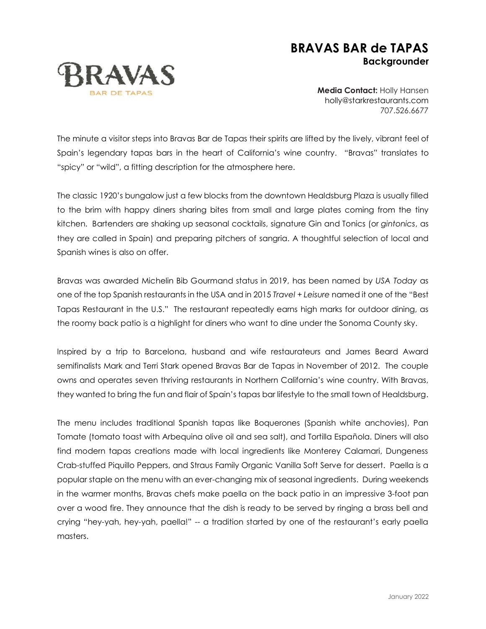## **BRAVAS BAR de TAPAS Backgrounder**



**Media Contact:** Holly Hansen [holly@starkrestaurants.com](mailto:holly@starkrestaurants.com) 707.526.6677

The minute a visitor steps into Bravas Bar de Tapas their spirits are lifted by the lively, vibrant feel of Spain's legendary tapas bars in the heart of California's wine country. "Bravas" translates to "spicy" or "wild", a fitting description for the atmosphere here.

The classic 1920's bungalow just a few blocks from the downtown Healdsburg Plaza is usually filled to the brim with happy diners sharing bites from small and large plates coming from the tiny kitchen. Bartenders are shaking up seasonal cocktails, signature Gin and Tonics (or *gintonics*, as they are called in Spain) and preparing pitchers of sangria. A thoughtful selection of local and Spanish wines is also on offer.

Bravas was awarded Michelin Bib Gourmand status in 2019, has been named by *USA Today* as one of the top Spanish restaurants in the USA and in 2015 *Travel + Leisure* named it one of the "Best Tapas Restaurant in the U.S." The restaurant repeatedly earns high marks for outdoor dining, as the roomy back patio is a highlight for diners who want to dine under the Sonoma County sky.

Inspired by a trip to Barcelona, husband and wife restaurateurs and James Beard Award semifinalists Mark and Terri Stark opened Bravas Bar de Tapas in November of 2012. The couple owns and operates seven thriving restaurants in Northern California's wine country. With Bravas, they wanted to bring the fun and flair of Spain's tapas bar lifestyle to the small town of Healdsburg.

The menu includes traditional Spanish tapas like Boquerones (Spanish white anchovies), Pan Tomate (tomato toast with Arbequina olive oil and sea salt), and Tortilla Española. Diners will also find modern tapas creations made with local ingredients like Monterey Calamari, Dungeness Crab-stuffed Piquillo Peppers, and Straus Family Organic Vanilla Soft Serve for dessert. Paella is a popular staple on the menu with an ever-changing mix of seasonal ingredients. During weekends in the warmer months, Bravas chefs make paella on the back patio in an impressive 3-foot pan over a wood fire. They announce that the dish is ready to be served by ringing a brass bell and crying "hey-yah, hey-yah, paella!" -- a tradition started by one of the restaurant's early paella masters.